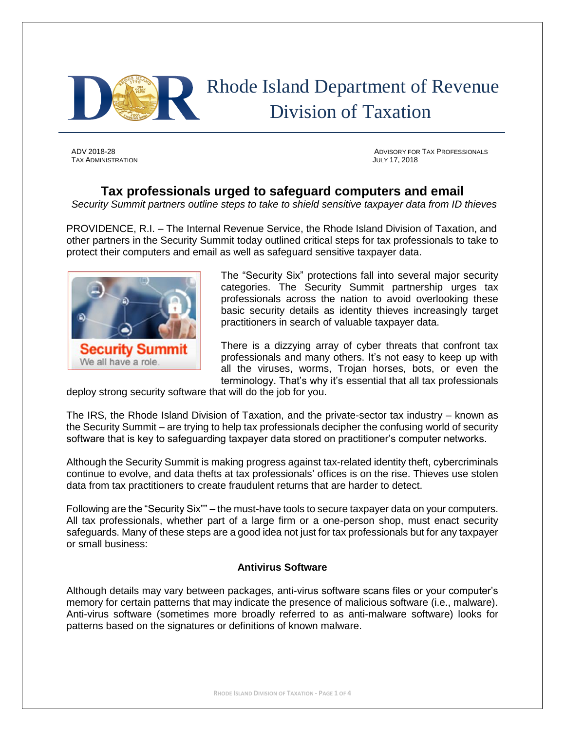

# Rhode Island Department of Revenue Division of Taxation

TAX ADMINISTRATION JULY 17, 2018

ADV 2018-28 ADVISORY FOR TAX PROFESSIONALS

# **Tax professionals urged to safeguard computers and email**

*Security Summit partners outline steps to take to shield sensitive taxpayer data from ID thieves*

PROVIDENCE, R.I. – The Internal Revenue Service, the Rhode Island Division of Taxation, and other partners in the Security Summit today outlined critical steps for tax professionals to take to protect their computers and email as well as safeguard sensitive taxpayer data.



The "Security Six" protections fall into several major security categories. The Security Summit partnership urges tax professionals across the nation to avoid overlooking these basic security details as identity thieves increasingly target practitioners in search of valuable taxpayer data.

There is a dizzying array of cyber threats that confront tax professionals and many others. It's not easy to keep up with all the viruses, worms, Trojan horses, bots, or even the terminology. That's why it's essential that all tax professionals

deploy strong security software that will do the job for you.

The IRS, the Rhode Island Division of Taxation, and the private-sector tax industry – known as the Security Summit – are trying to help tax professionals decipher the confusing world of security software that is key to safeguarding taxpayer data stored on practitioner's computer networks.

Although the Security Summit is making progress against tax-related identity theft, cybercriminals continue to evolve, and data thefts at tax professionals' offices is on the rise. Thieves use stolen data from tax practitioners to create fraudulent returns that are harder to detect.

Following are the "Security Six"" – the must-have tools to secure taxpayer data on your computers. All tax professionals, whether part of a large firm or a one-person shop, must enact security safeguards. Many of these steps are a good idea not just for tax professionals but for any taxpayer or small business:

## **Antivirus Software**

Although details may vary between packages, anti-virus software scans files or your computer's memory for certain patterns that may indicate the presence of malicious software (i.e., malware). Anti-virus software (sometimes more broadly referred to as anti-malware software) looks for patterns based on the signatures or definitions of known malware.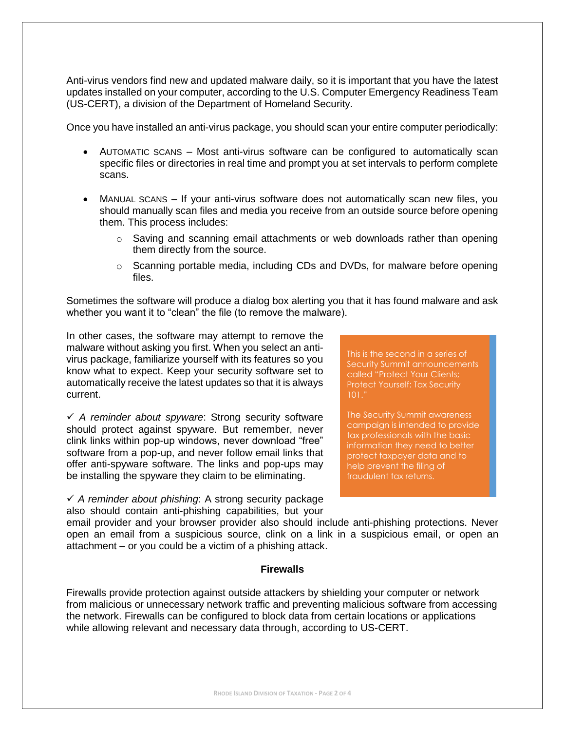Anti-virus vendors find new and updated malware daily, so it is important that you have the latest updates installed on your computer, according to the U.S. Computer Emergency Readiness Team (US-CERT), a division of the Department of Homeland Security.

Once you have installed an anti-virus package, you should scan your entire computer periodically:

- AUTOMATIC SCANS Most anti-virus software can be configured to automatically scan specific files or directories in real time and prompt you at set intervals to perform complete scans.
- MANUAL SCANS If your anti-virus software does not automatically scan new files, you should manually scan files and media you receive from an outside source before opening them. This process includes:
	- o Saving and scanning email attachments or web downloads rather than opening them directly from the source.
	- $\circ$  Scanning portable media, including CDs and DVDs, for malware before opening files.

Sometimes the software will produce a dialog box alerting you that it has found malware and ask whether you want it to "clean" the file (to remove the malware).

In other cases, the software may attempt to remove the malware without asking you first. When you select an antivirus package, familiarize yourself with its features so you know what to expect. Keep your security software set to automatically receive the latest updates so that it is always current.

✓ *A reminder about spyware*: Strong security software should protect against spyware. But remember, never clink links within pop-up windows, never download "free" software from a pop-up, and never follow email links that offer anti-spyware software. The links and pop-ups may be installing the spyware they claim to be eliminating.

✓ *A reminder about phishing*: A strong security package also should contain anti-phishing capabilities, but your This is the second in a series of Security Summit announcements called "Protect Your Clients; Protect Yourself: Tax Security 101."

The Security Summit awareness campaign is intended to provide tax professionals with the basic information they need to better protect taxpayer data and to help prevent the filing of fraudulent tax returns.

email provider and your browser provider also should include anti-phishing protections. Never open an email from a suspicious source, clink on a link in a suspicious email, or open an attachment – or you could be a victim of a phishing attack.

# **Firewalls**

Firewalls provide protection against outside attackers by shielding your computer or network from malicious or unnecessary network traffic and preventing malicious software from accessing the network. Firewalls can be configured to block data from certain locations or applications while allowing relevant and necessary data through, according to US-CERT.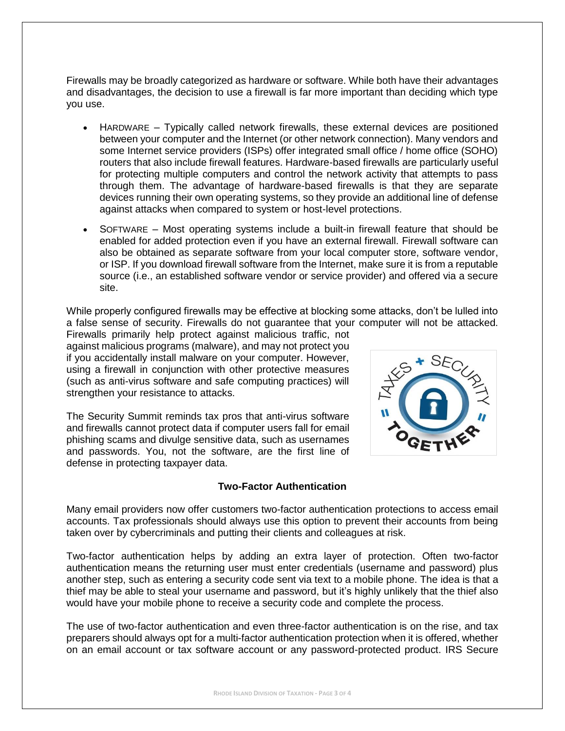Firewalls may be broadly categorized as hardware or software. While both have their advantages and disadvantages, the decision to use a firewall is far more important than deciding which type you use.

- HARDWARE Typically called network firewalls, these external devices are positioned between your computer and the Internet (or other network connection). Many vendors and some Internet service providers (ISPs) offer integrated small office / home office (SOHO) routers that also include firewall features. Hardware-based firewalls are particularly useful for protecting multiple computers and control the network activity that attempts to pass through them. The advantage of hardware-based firewalls is that they are separate devices running their own operating systems, so they provide an additional line of defense against attacks when compared to system or host-level protections.
- SOFTWARE Most operating systems include a built-in firewall feature that should be enabled for added protection even if you have an external firewall. Firewall software can also be obtained as separate software from your local computer store, software vendor, or ISP. If you download firewall software from the Internet, make sure it is from a reputable source (i.e., an established software vendor or service provider) and offered via a secure site.

While properly configured firewalls may be effective at blocking some attacks, don't be lulled into a false sense of security. Firewalls do not guarantee that your computer will not be attacked.

Firewalls primarily help protect against malicious traffic, not against malicious programs (malware), and may not protect you if you accidentally install malware on your computer. However, using a firewall in conjunction with other protective measures (such as anti-virus software and safe computing practices) will strengthen your resistance to attacks.

The Security Summit reminds tax pros that anti-virus software and firewalls cannot protect data if computer users fall for email phishing scams and divulge sensitive data, such as usernames and passwords. You, not the software, are the first line of defense in protecting taxpayer data.

# **Two-Factor Authentication**



Many email providers now offer customers two-factor authentication protections to access email accounts. Tax professionals should always use this option to prevent their accounts from being taken over by cybercriminals and putting their clients and colleagues at risk.

Two-factor authentication helps by adding an extra layer of protection. Often two-factor authentication means the returning user must enter credentials (username and password) plus another step, such as entering a security code sent via text to a mobile phone. The idea is that a thief may be able to steal your username and password, but it's highly unlikely that the thief also would have your mobile phone to receive a security code and complete the process.

The use of two-factor authentication and even three-factor authentication is on the rise, and tax preparers should always opt for a multi-factor authentication protection when it is offered, whether on an email account or tax software account or any password-protected product. IRS Secure